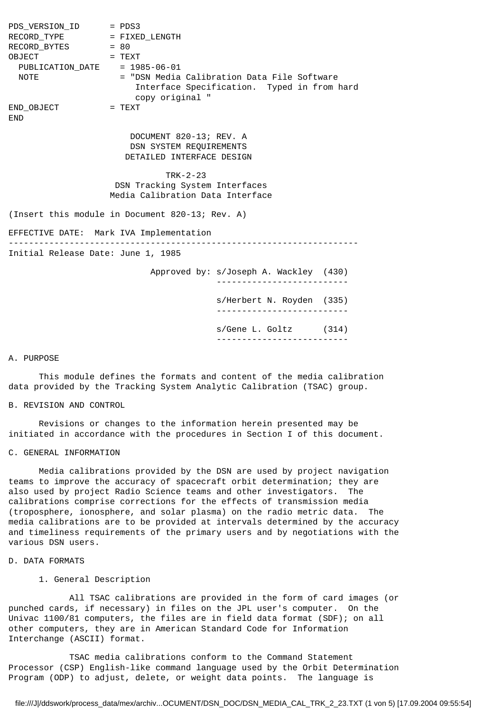PDS\_VERSION\_ID = PDS3 RECORD\_TYPE = FIXED\_LENGTH RECORD\_BYTES = 80 OBJECT = TEXT PUBLICATION\_DATE = 1985-06-01 NOTE = "DSN Media Calibration Data File Software Interface Specification. Typed in from hard copy original " END OBJECT = TEXT END DOCUMENT 820-13; REV. A DSN SYSTEM REQUIREMENTS DETAILED INTERFACE DESIGN TRK-2-23 DSN Tracking System Interfaces Media Calibration Data Interface (Insert this module in Document 820-13; Rev. A) EFFECTIVE DATE: Mark IVA Implementation --------------------------------------------------------------------- Initial Release Date: June 1, 1985 Approved by: s/Joseph A. Wackley (430) ------------------------- s/Herbert N. Royden (335) ------------------------- s/Gene L. Goltz (314) --------------------------

#### A. PURPOSE

 This module defines the formats and content of the media calibration data provided by the Tracking System Analytic Calibration (TSAC) group.

B. REVISION AND CONTROL

 Revisions or changes to the information herein presented may be initiated in accordance with the procedures in Section I of this document.

### C. GENERAL INFORMATION

 Media calibrations provided by the DSN are used by project navigation teams to improve the accuracy of spacecraft orbit determination; they are also used by project Radio Science teams and other investigators. The calibrations comprise corrections for the effects of transmission media (troposphere, ionosphere, and solar plasma) on the radio metric data. The media calibrations are to be provided at intervals determined by the accuracy and timeliness requirements of the primary users and by negotiations with the various DSN users.

# D. DATA FORMATS

# 1. General Description

 All TSAC calibrations are provided in the form of card images (or punched cards, if necessary) in files on the JPL user's computer. On the Univac 1100/81 computers, the files are in field data format (SDF); on all other computers, they are in American Standard Code for Information Interchange (ASCII) format.

 TSAC media calibrations conform to the Command Statement Processor (CSP) English-like command language used by the Orbit Determination Program (ODP) to adjust, delete, or weight data points. The language is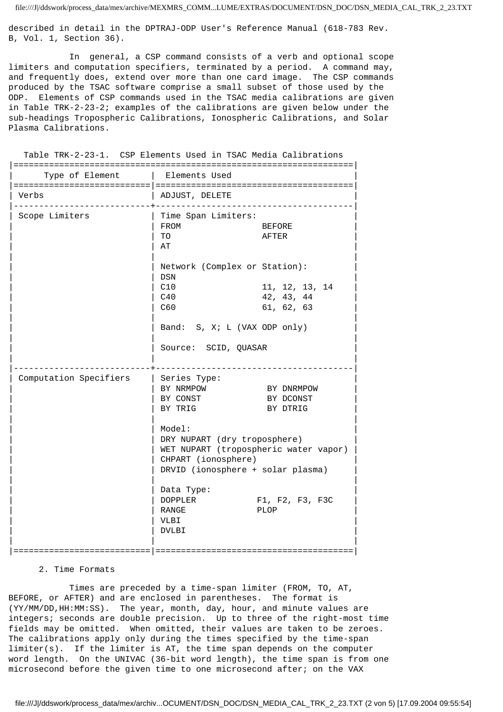described in detail in the DPTRAJ-ODP User's Reference Manual (618-783 Rev. B, Vol. 1, Section 36).

 In general, a CSP command consists of a verb and optional scope limiters and computation specifiers, terminated by a period. A command may, and frequently does, extend over more than one card image. The CSP commands produced by the TSAC software comprise a small subset of those used by the ODP. Elements of CSP commands used in the TSAC media calibrations are given in Table TRK-2-23-2; examples of the calibrations are given below under the sub-headings Tropospheric Calibrations, Ionospheric Calibrations, and Solar Plasma Calibrations.

Table TRK-2-23-1. CSP Elements Used in TSAC Media Calibrations

| ===========<br>Type of Element   Elements Used |                                                                                                                                                                                                                                        |                                            |
|------------------------------------------------|----------------------------------------------------------------------------------------------------------------------------------------------------------------------------------------------------------------------------------------|--------------------------------------------|
| Verbs                                          | ADJUST, DELETE                                                                                                                                                                                                                         |                                            |
| Scope Limiters                                 | Time Span Limiters:<br>FROM<br>TO<br>AT                                                                                                                                                                                                | BEFORE<br>AFTER                            |
|                                                | Network (Complex or Station):<br>DSN<br>C10<br>C40<br>C60<br>Band: S, X; L (VAX ODP only)                                                                                                                                              | 11, 12, 13, 14<br>42, 43, 44<br>61, 62, 63 |
|                                                | Source: SCID, QUASAR                                                                                                                                                                                                                   |                                            |
| Computation Specifiers                         | Series Type:<br>BY NRMPOW<br>BY DNRMPOW<br>BY CONST<br>BY DCONST<br>BY TRIG<br>BY DTRIG<br>Model:<br>DRY NUPART (dry troposphere)<br>WET NUPART (tropospheric water vapor)<br>CHPART (ionosphere)<br>DRVID (ionosphere + solar plasma) |                                            |
|                                                | Data Type:<br>DOPPLER<br>RANGE<br>VLBI<br><b>DVLBI</b>                                                                                                                                                                                 | F1, F2, F3, F3C<br>PLOP                    |
| ============================                   | ===================================                                                                                                                                                                                                    |                                            |

# 2. Time Formats

 Times are preceded by a time-span limiter (FROM, TO, AT, BEFORE, or AFTER) and are enclosed in parentheses. The format is (YY/MM/DD,HH:MM:SS). The year, month, day, hour, and minute values are integers; seconds are double precision. Up to three of the right-most time fields may be omitted. When omitted, their values are taken to be zeroes. The calibrations apply only during the times specified by the time-span limiter(s). If the limiter is AT, the time span depends on the computer word length. On the UNIVAC (36-bit word length), the time span is from one microsecond before the given time to one microsecond after; on the VAX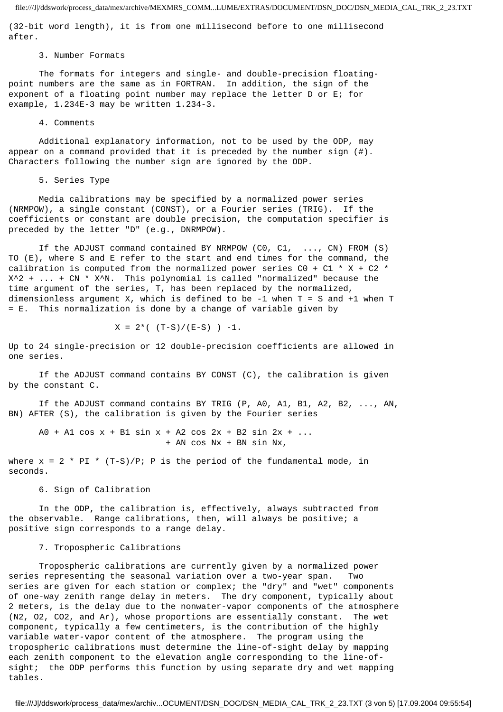(32-bit word length), it is from one millisecond before to one millisecond after.

#### 3. Number Formats

 The formats for integers and single- and double-precision floatingpoint numbers are the same as in FORTRAN. In addition, the sign of the exponent of a floating point number may replace the letter D or E; for example, 1.234E-3 may be written 1.234-3.

#### 4. Comments

 Additional explanatory information, not to be used by the ODP, may appear on a command provided that it is preceded by the number sign (#). Characters following the number sign are ignored by the ODP.

## 5. Series Type

 Media calibrations may be specified by a normalized power series (NRMPOW), a single constant (CONST), or a Fourier series (TRIG). If the coefficients or constant are double precision, the computation specifier is preceded by the letter "D" (e.g., DNRMPOW).

 If the ADJUST command contained BY NRMPOW (C0, C1, ..., CN) FROM (S) TO (E), where S and E refer to the start and end times for the command, the calibration is computed from the normalized power series CO + C1  $*$  X + C2  $*$ X^2 + ... + CN \* X^N. This polynomial is called "normalized" because the time argument of the series, T, has been replaced by the normalized, dimensionless argument X, which is defined to be -1 when T = S and +1 when T = E. This normalization is done by a change of variable given by

$$
X = 2^{\star} ( (T-S)/(E-S) ) -1.
$$

Up to 24 single-precision or 12 double-precision coefficients are allowed in one series.

 If the ADJUST command contains BY CONST (C), the calibration is given by the constant C.

 If the ADJUST command contains BY TRIG (P, A0, A1, B1, A2, B2, ..., AN, BN) AFTER (S), the calibration is given by the Fourier series

 $A0 + A1 \cos x + B1 \sin x + A2 \cos 2x + B2 \sin 2x + ...$ + AN cos Nx + BN sin Nx,

where  $x = 2 * PI * (T-S)/P$ ; P is the period of the fundamental mode, in seconds.

6. Sign of Calibration

 In the ODP, the calibration is, effectively, always subtracted from the observable. Range calibrations, then, will always be positive; a positive sign corresponds to a range delay.

#### 7. Tropospheric Calibrations

 Tropospheric calibrations are currently given by a normalized power series representing the seasonal variation over a two-year span. Two series are given for each station or complex; the "dry" and "wet" components of one-way zenith range delay in meters. The dry component, typically about 2 meters, is the delay due to the nonwater-vapor components of the atmosphere (N2, O2, CO2, and Ar), whose proportions are essentially constant. The wet component, typically a few centimeters, is the contribution of the highly variable water-vapor content of the atmosphere. The program using the tropospheric calibrations must determine the line-of-sight delay by mapping each zenith component to the elevation angle corresponding to the line-ofsight; the ODP performs this function by using separate dry and wet mapping tables.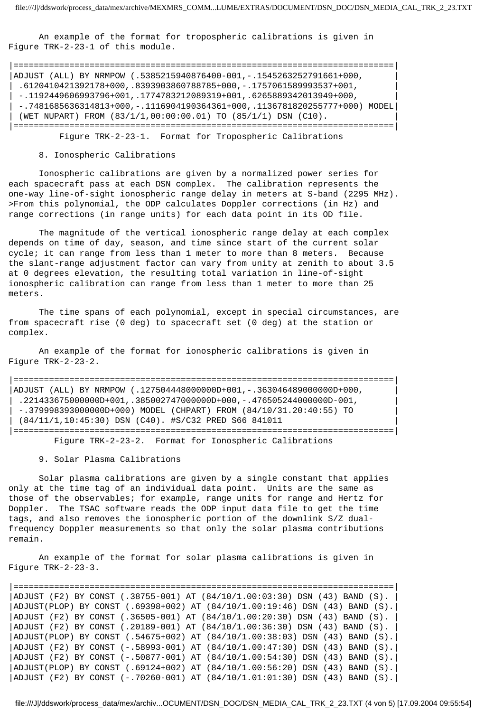An example of the format for tropospheric calibrations is given in Figure TRK-2-23-1 of this module.

|===========================================================================| |ADJUST (ALL) BY NRMPOW (.5385215940876400-001,-.1545263252791661+000, | | .6120410421392178+000,.8393903860788785+000,-.1757061589993537+001, |  $-1192449606993796+001, 1774783212089319+001, 6265889342013949+000,$ | -.7481685636314813+000,-.1116904190364361+000,.1136781820255777+000) MODEL|  $|$  (WET NUPART) FROM (83/1/1,00:00:00.01) TO (85/1/1) DSN (C10). |===========================================================================|

Figure TRK-2-23-1. Format for Tropospheric Calibrations

### 8. Ionospheric Calibrations

 Ionospheric calibrations are given by a normalized power series for each spacecraft pass at each DSN complex. The calibration represents the one-way line-of-sight ionospheric range delay in meters at S-band (2295 MHz). >From this polynomial, the ODP calculates Doppler corrections (in Hz) and range corrections (in range units) for each data point in its OD file.

 The magnitude of the vertical ionospheric range delay at each complex depends on time of day, season, and time since start of the current solar cycle; it can range from less than 1 meter to more than 8 meters. Because the slant-range adjustment factor can vary from unity at zenith to about 3.5 at 0 degrees elevation, the resulting total variation in line-of-sight ionospheric calibration can range from less than 1 meter to more than 25 meters.

 The time spans of each polynomial, except in special circumstances, are from spacecraft rise (0 deg) to spacecraft set (0 deg) at the station or complex.

 An example of the format for ionospheric calibrations is given in Figure TRK-2-23-2.

|===========================================================================| |ADJUST (ALL) BY NRMPOW (.127504448000000D+001,-.363046489000000D+000, |  $\vert$  .221433675000000D+001,.385002747000000D+000,-.476505244000000D-001,  $| -379998393000000D+000)$  MODEL (CHPART) FROM  $(84/10/31.20:40:55)$  TO | (84/11/1,10:45:30) DSN (C40). #S/C32 PRED S66 841011 | |===========================================================================| Figure TRK-2-23-2. Format for Ionospheric Calibrations

9. Solar Plasma Calibrations

 Solar plasma calibrations are given by a single constant that applies only at the time tag of an individual data point. Units are the same as those of the observables; for example, range units for range and Hertz for Doppler. The TSAC software reads the ODP input data file to get the time tags, and also removes the ionospheric portion of the downlink S/Z dualfrequency Doppler measurements so that only the solar plasma contributions remain.

 An example of the format for solar plasma calibrations is given in Figure TRK-2-23-3.

|===========================================================================| |ADJUST (F2) BY CONST (.38755-001) AT (84/10/1.00:03:30) DSN (43) BAND (S). | |ADJUST(PLOP) BY CONST (.69398+002) AT (84/10/1.00:19:46) DSN (43) BAND (S).| |ADJUST (F2) BY CONST (.36505-001) AT (84/10/1.00:20:30) DSN (43) BAND (S). | |ADJUST (F2) BY CONST (.20189-001) AT (84/10/1.00:36:30) DSN (43) BAND (S). | |ADJUST(PLOP) BY CONST (.54675+002) AT (84/10/1.00:38:03) DSN (43) BAND (S).| |ADJUST (F2) BY CONST (-.58993-001) AT (84/10/1.00:47:30) DSN (43) BAND (S).| |ADJUST (F2) BY CONST (-.50877-001) AT (84/10/1.00:54:30) DSN (43) BAND (S).| |ADJUST(PLOP) BY CONST (.69124+002) AT (84/10/1.00:56:20) DSN (43) BAND (S).| |ADJUST (F2) BY CONST (-.70260-001) AT (84/10/1.01:01:30) DSN (43) BAND (S).|

file:///J|/ddswork/process\_data/mex/archiv...OCUMENT/DSN\_DOC/DSN\_MEDIA\_CAL\_TRK\_2\_23.TXT (4 von 5) [17.09.2004 09:55:54]